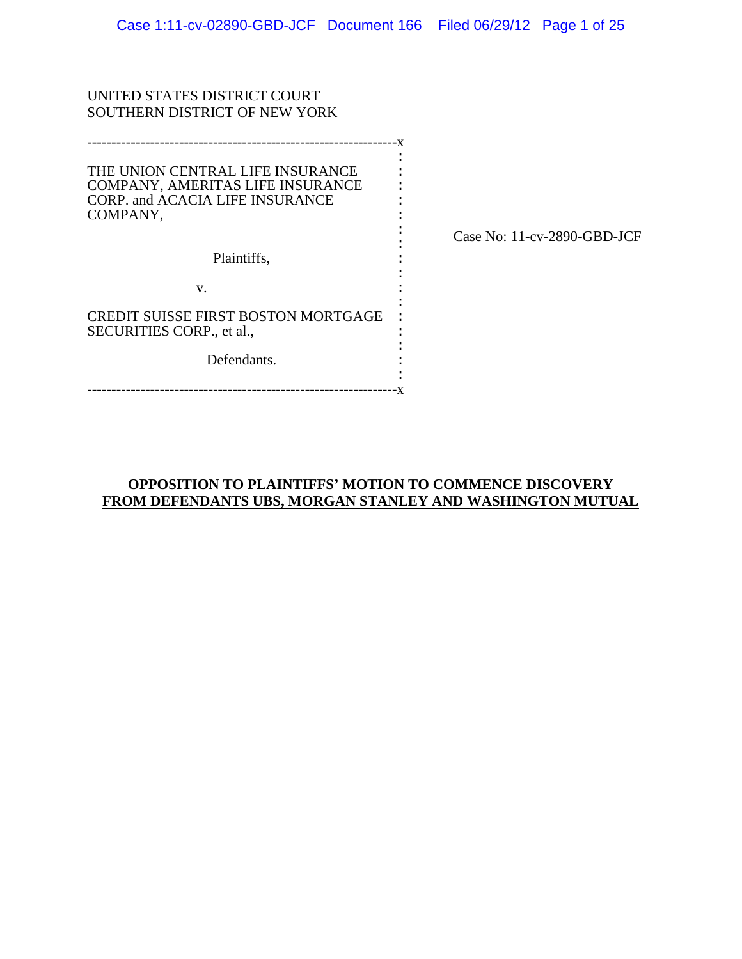: :

: : : : : : :

| UNITED STATES DISTRICT COURT  |
|-------------------------------|
| SOUTHERN DISTRICT OF NEW YORK |

----------------------------------------------------------------x THE UNION CENTRAL LIFE INSURANCE COMPANY, AMERITAS LIFE INSURANCE CORP. and ACACIA LIFE INSURANCE COMPANY, Plaintiffs, :  $\cdot$  : : : : : :

v.

CREDIT SUISSE FIRST BOSTON MORTGAGE SECURITIES CORP., et al.,

Defendants.

----------------------------------------------------------------x

Case No: 11-cv-2890-GBD-JCF

# **OPPOSITION TO PLAINTIFFS' MOTION TO COMMENCE DISCOVERY FROM DEFENDANTS UBS, MORGAN STANLEY AND WASHINGTON MUTUAL**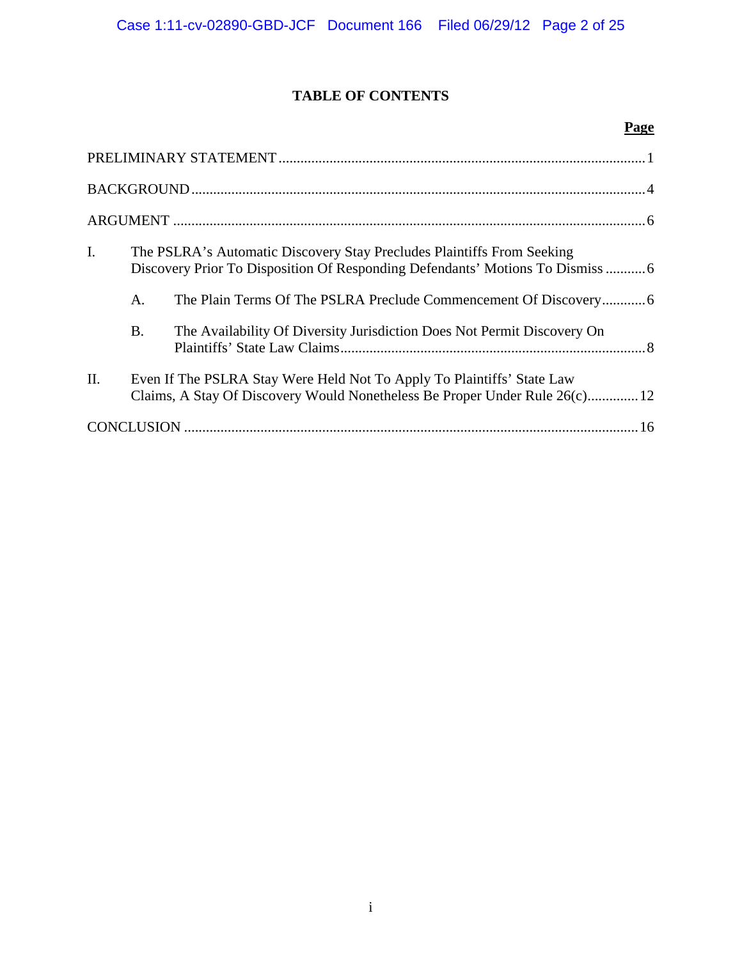# **TABLE OF CONTENTS**

# **Page**

| $\mathbf{I}$ . | The PSLRA's Automatic Discovery Stay Precludes Plaintiffs From Seeking |                                                                                                                                                       |  |  |
|----------------|------------------------------------------------------------------------|-------------------------------------------------------------------------------------------------------------------------------------------------------|--|--|
|                | А.                                                                     |                                                                                                                                                       |  |  |
|                | <b>B.</b>                                                              | The Availability Of Diversity Jurisdiction Does Not Permit Discovery On                                                                               |  |  |
| II.            |                                                                        | Even If The PSLRA Stay Were Held Not To Apply To Plaintiffs' State Law<br>Claims, A Stay Of Discovery Would Nonetheless Be Proper Under Rule 26(c) 12 |  |  |
|                |                                                                        |                                                                                                                                                       |  |  |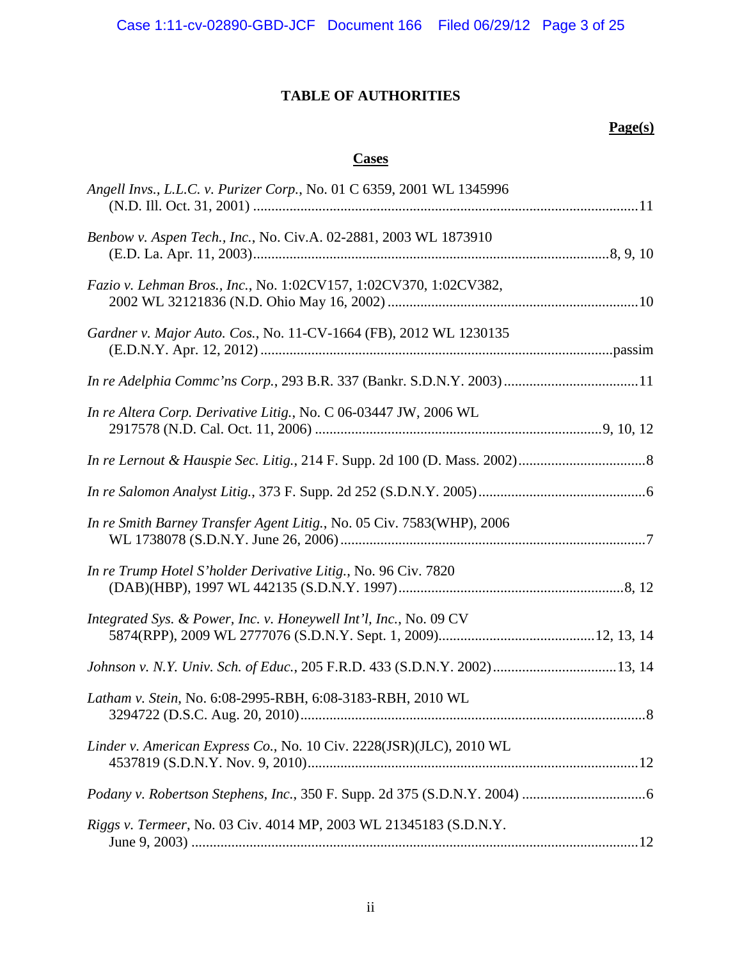# **TABLE OF AUTHORITIES**

# **Page(s)**

# **Cases**

| Angell Invs., L.L.C. v. Purizer Corp., No. 01 C 6359, 2001 WL 1345996     |
|---------------------------------------------------------------------------|
| Benbow v. Aspen Tech., Inc., No. Civ.A. 02-2881, 2003 WL 1873910          |
| Fazio v. Lehman Bros., Inc., No. 1:02CV157, 1:02CV370, 1:02CV382,         |
| Gardner v. Major Auto. Cos., No. 11-CV-1664 (FB), 2012 WL 1230135         |
| In re Adelphia Commc'ns Corp., 293 B.R. 337 (Bankr. S.D.N.Y. 2003)  11    |
| In re Altera Corp. Derivative Litig., No. C 06-03447 JW, 2006 WL          |
|                                                                           |
|                                                                           |
| In re Smith Barney Transfer Agent Litig., No. 05 Civ. 7583(WHP), 2006     |
| In re Trump Hotel S'holder Derivative Litig., No. 96 Civ. 7820            |
| Integrated Sys. & Power, Inc. v. Honeywell Int'l, Inc., No. 09 CV         |
| Johnson v. N.Y. Univ. Sch. of Educ., 205 F.R.D. 433 (S.D.N.Y. 2002)13, 14 |
| Latham v. Stein, No. 6:08-2995-RBH, 6:08-3183-RBH, 2010 WL                |
| Linder v. American Express Co., No. 10 Civ. 2228(JSR)(JLC), 2010 WL       |
|                                                                           |
| Riggs v. Termeer, No. 03 Civ. 4014 MP, 2003 WL 21345183 (S.D.N.Y.         |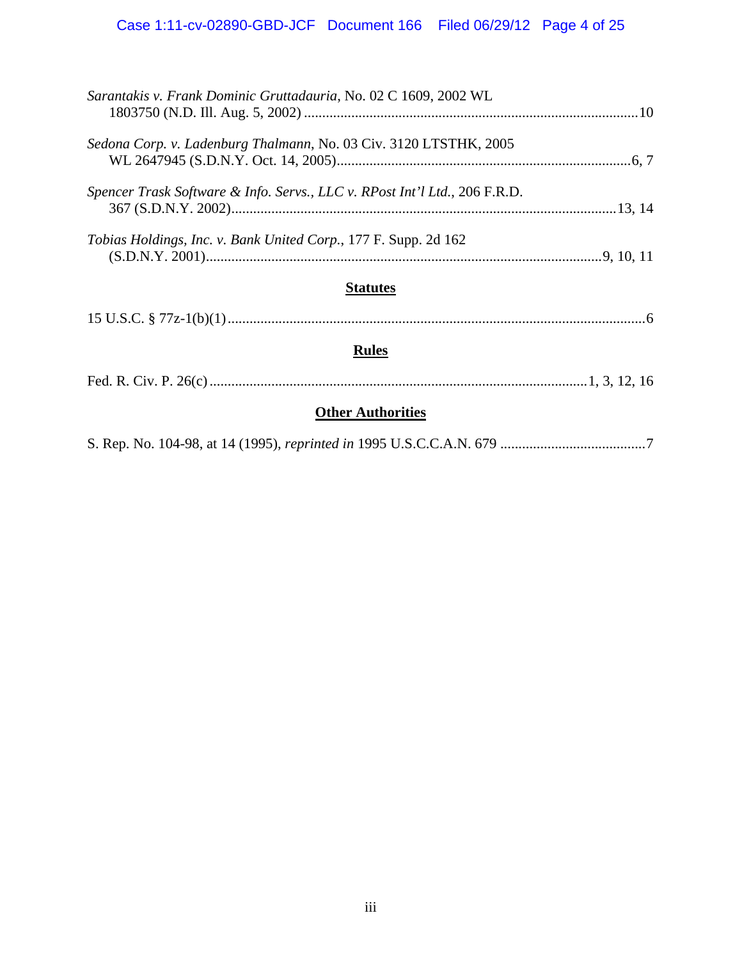| Sarantakis v. Frank Dominic Gruttadauria, No. 02 C 1609, 2002 WL           |  |  |  |
|----------------------------------------------------------------------------|--|--|--|
| Sedona Corp. v. Ladenburg Thalmann, No. 03 Civ. 3120 LTSTHK, 2005          |  |  |  |
| Spencer Trask Software & Info. Servs., LLC v. RPost Int'l Ltd., 206 F.R.D. |  |  |  |
| <i>Tobias Holdings, Inc. v. Bank United Corp., 177 F. Supp. 2d 162</i>     |  |  |  |
| <b>Statutes</b>                                                            |  |  |  |
|                                                                            |  |  |  |
| <b>Rules</b>                                                               |  |  |  |
|                                                                            |  |  |  |
| <b>Other Authorities</b>                                                   |  |  |  |
|                                                                            |  |  |  |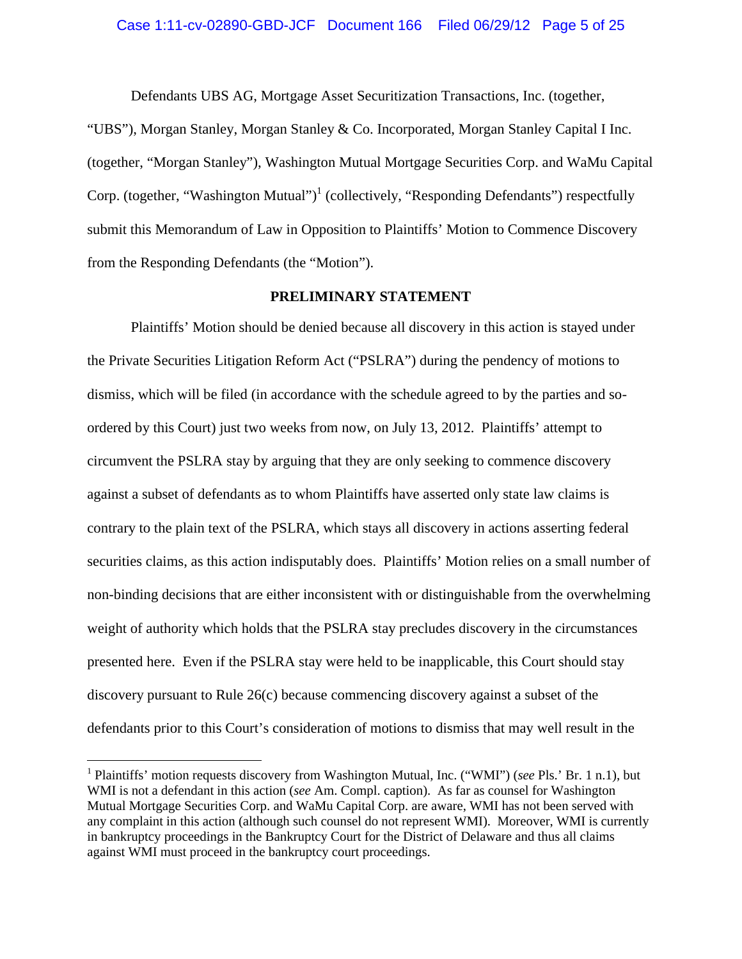Defendants UBS AG, Mortgage Asset Securitization Transactions, Inc. (together,

"UBS"), Morgan Stanley, Morgan Stanley & Co. Incorporated, Morgan Stanley Capital I Inc. (together, "Morgan Stanley"), Washington Mutual Mortgage Securities Corp. and WaMu Capital Corp. (together, "Washington Mutual")<sup>1</sup> (collectively, "Responding Defendants") respectfully submit this Memorandum of Law in Opposition to Plaintiffs' Motion to Commence Discovery from the Responding Defendants (the "Motion").

## **PRELIMINARY STATEMENT**

Plaintiffs' Motion should be denied because all discovery in this action is stayed under the Private Securities Litigation Reform Act ("PSLRA") during the pendency of motions to dismiss, which will be filed (in accordance with the schedule agreed to by the parties and soordered by this Court) just two weeks from now, on July 13, 2012. Plaintiffs' attempt to circumvent the PSLRA stay by arguing that they are only seeking to commence discovery against a subset of defendants as to whom Plaintiffs have asserted only state law claims is contrary to the plain text of the PSLRA, which stays all discovery in actions asserting federal securities claims, as this action indisputably does. Plaintiffs' Motion relies on a small number of non-binding decisions that are either inconsistent with or distinguishable from the overwhelming weight of authority which holds that the PSLRA stay precludes discovery in the circumstances presented here. Even if the PSLRA stay were held to be inapplicable, this Court should stay discovery pursuant to Rule 26(c) because commencing discovery against a subset of the defendants prior to this Court's consideration of motions to dismiss that may well result in the

<sup>&</sup>lt;sup>1</sup> Plaintiffs' motion requests discovery from Washington Mutual, Inc. ("WMI") (*see* Pls.' Br. 1 n.1), but WMI is not a defendant in this action (*see* Am. Compl. caption). As far as counsel for Washington Mutual Mortgage Securities Corp. and WaMu Capital Corp. are aware, WMI has not been served with any complaint in this action (although such counsel do not represent WMI). Moreover, WMI is currently in bankruptcy proceedings in the Bankruptcy Court for the District of Delaware and thus all claims against WMI must proceed in the bankruptcy court proceedings.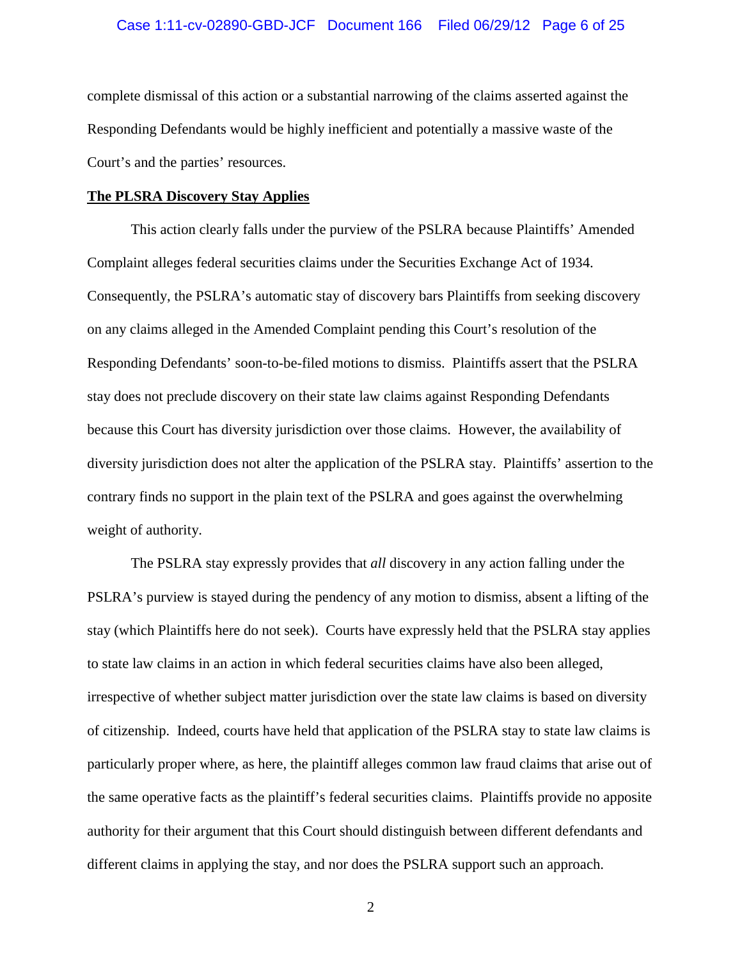#### Case 1:11-cv-02890-GBD-JCF Document 166 Filed 06/29/12 Page 6 of 25

complete dismissal of this action or a substantial narrowing of the claims asserted against the Responding Defendants would be highly inefficient and potentially a massive waste of the Court's and the parties' resources.

#### **The PLSRA Discovery Stay Applies**

This action clearly falls under the purview of the PSLRA because Plaintiffs' Amended Complaint alleges federal securities claims under the Securities Exchange Act of 1934. Consequently, the PSLRA's automatic stay of discovery bars Plaintiffs from seeking discovery on any claims alleged in the Amended Complaint pending this Court's resolution of the Responding Defendants' soon-to-be-filed motions to dismiss. Plaintiffs assert that the PSLRA stay does not preclude discovery on their state law claims against Responding Defendants because this Court has diversity jurisdiction over those claims. However, the availability of diversity jurisdiction does not alter the application of the PSLRA stay. Plaintiffs' assertion to the contrary finds no support in the plain text of the PSLRA and goes against the overwhelming weight of authority.

The PSLRA stay expressly provides that *all* discovery in any action falling under the PSLRA's purview is stayed during the pendency of any motion to dismiss, absent a lifting of the stay (which Plaintiffs here do not seek). Courts have expressly held that the PSLRA stay applies to state law claims in an action in which federal securities claims have also been alleged, irrespective of whether subject matter jurisdiction over the state law claims is based on diversity of citizenship. Indeed, courts have held that application of the PSLRA stay to state law claims is particularly proper where, as here, the plaintiff alleges common law fraud claims that arise out of the same operative facts as the plaintiff's federal securities claims. Plaintiffs provide no apposite authority for their argument that this Court should distinguish between different defendants and different claims in applying the stay, and nor does the PSLRA support such an approach.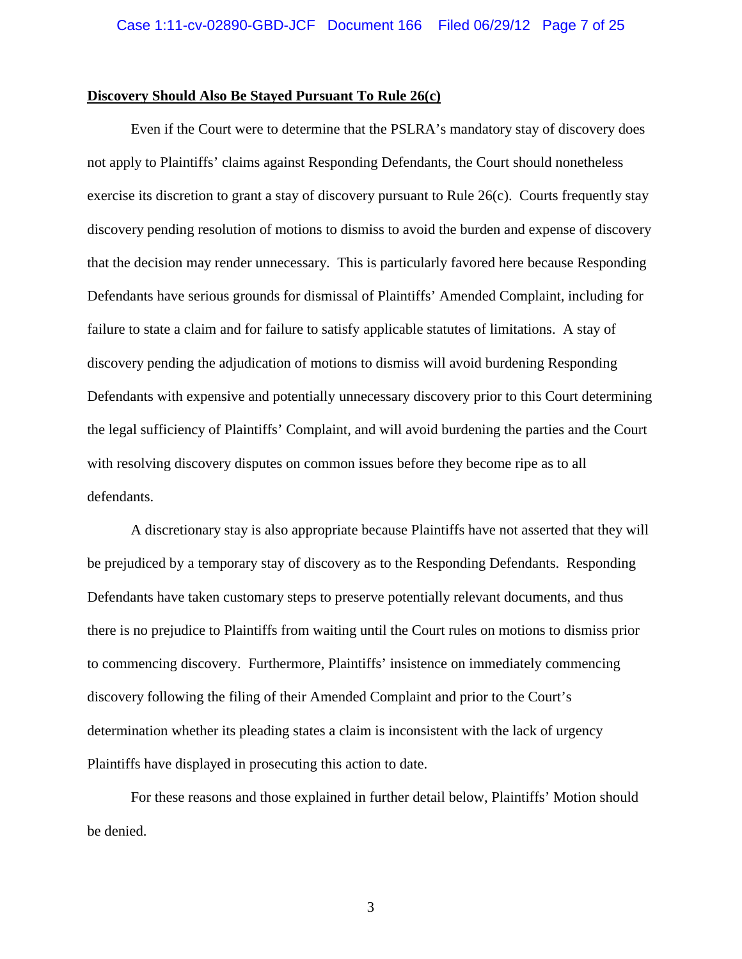#### **Discovery Should Also Be Stayed Pursuant To Rule 26(c)**

Even if the Court were to determine that the PSLRA's mandatory stay of discovery does not apply to Plaintiffs' claims against Responding Defendants, the Court should nonetheless exercise its discretion to grant a stay of discovery pursuant to Rule 26(c). Courts frequently stay discovery pending resolution of motions to dismiss to avoid the burden and expense of discovery that the decision may render unnecessary. This is particularly favored here because Responding Defendants have serious grounds for dismissal of Plaintiffs' Amended Complaint, including for failure to state a claim and for failure to satisfy applicable statutes of limitations. A stay of discovery pending the adjudication of motions to dismiss will avoid burdening Responding Defendants with expensive and potentially unnecessary discovery prior to this Court determining the legal sufficiency of Plaintiffs' Complaint, and will avoid burdening the parties and the Court with resolving discovery disputes on common issues before they become ripe as to all defendants.

A discretionary stay is also appropriate because Plaintiffs have not asserted that they will be prejudiced by a temporary stay of discovery as to the Responding Defendants. Responding Defendants have taken customary steps to preserve potentially relevant documents, and thus there is no prejudice to Plaintiffs from waiting until the Court rules on motions to dismiss prior to commencing discovery. Furthermore, Plaintiffs' insistence on immediately commencing discovery following the filing of their Amended Complaint and prior to the Court's determination whether its pleading states a claim is inconsistent with the lack of urgency Plaintiffs have displayed in prosecuting this action to date.

For these reasons and those explained in further detail below, Plaintiffs' Motion should be denied.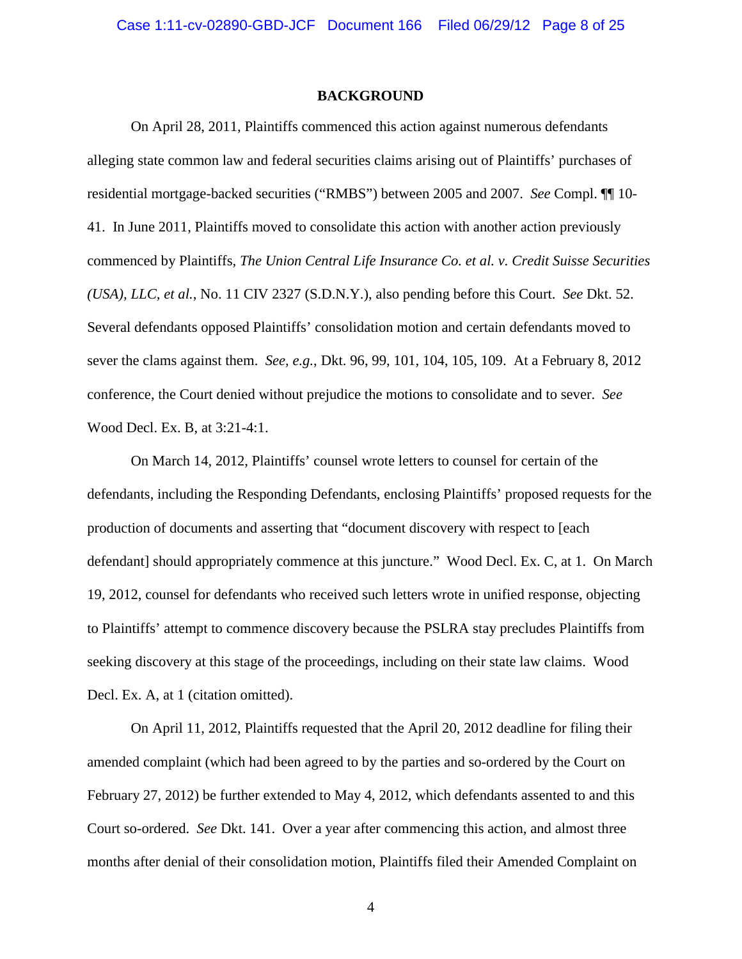#### **BACKGROUND**

On April 28, 2011, Plaintiffs commenced this action against numerous defendants alleging state common law and federal securities claims arising out of Plaintiffs' purchases of residential mortgage-backed securities ("RMBS") between 2005 and 2007. *See* Compl. ¶¶ 10- 41. In June 2011, Plaintiffs moved to consolidate this action with another action previously commenced by Plaintiffs, *The Union Central Life Insurance Co. et al. v. Credit Suisse Securities (USA), LLC, et al.*, No. 11 CIV 2327 (S.D.N.Y.), also pending before this Court. *See* Dkt. 52. Several defendants opposed Plaintiffs' consolidation motion and certain defendants moved to sever the clams against them. *See, e.g.*, Dkt. 96, 99, 101, 104, 105, 109. At a February 8, 2012 conference, the Court denied without prejudice the motions to consolidate and to sever. *See*  Wood Decl. Ex. B, at 3:21-4:1.

On March 14, 2012, Plaintiffs' counsel wrote letters to counsel for certain of the defendants, including the Responding Defendants, enclosing Plaintiffs' proposed requests for the production of documents and asserting that "document discovery with respect to [each defendant] should appropriately commence at this juncture." Wood Decl. Ex. C, at 1. On March 19, 2012, counsel for defendants who received such letters wrote in unified response, objecting to Plaintiffs' attempt to commence discovery because the PSLRA stay precludes Plaintiffs from seeking discovery at this stage of the proceedings, including on their state law claims. Wood Decl. Ex. A, at 1 (citation omitted).

On April 11, 2012, Plaintiffs requested that the April 20, 2012 deadline for filing their amended complaint (which had been agreed to by the parties and so-ordered by the Court on February 27, 2012) be further extended to May 4, 2012, which defendants assented to and this Court so-ordered. *See* Dkt. 141. Over a year after commencing this action, and almost three months after denial of their consolidation motion, Plaintiffs filed their Amended Complaint on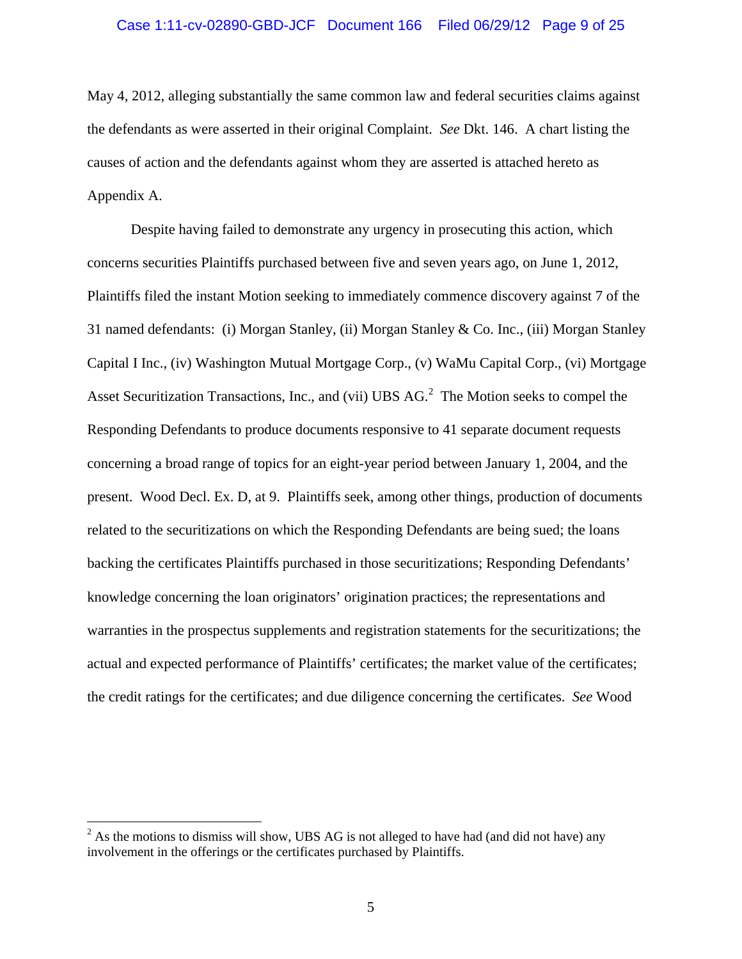May 4, 2012, alleging substantially the same common law and federal securities claims against the defendants as were asserted in their original Complaint. *See* Dkt. 146. A chart listing the causes of action and the defendants against whom they are asserted is attached hereto as Appendix A.

Despite having failed to demonstrate any urgency in prosecuting this action, which concerns securities Plaintiffs purchased between five and seven years ago, on June 1, 2012, Plaintiffs filed the instant Motion seeking to immediately commence discovery against 7 of the 31 named defendants: (i) Morgan Stanley, (ii) Morgan Stanley & Co. Inc., (iii) Morgan Stanley Capital I Inc., (iv) Washington Mutual Mortgage Corp., (v) WaMu Capital Corp., (vi) Mortgage Asset Securitization Transactions, Inc., and (vii) UBS  $AG<sup>2</sup>$  The Motion seeks to compel the Responding Defendants to produce documents responsive to 41 separate document requests concerning a broad range of topics for an eight-year period between January 1, 2004, and the present. Wood Decl. Ex. D, at 9. Plaintiffs seek, among other things, production of documents related to the securitizations on which the Responding Defendants are being sued; the loans backing the certificates Plaintiffs purchased in those securitizations; Responding Defendants' knowledge concerning the loan originators' origination practices; the representations and warranties in the prospectus supplements and registration statements for the securitizations; the actual and expected performance of Plaintiffs' certificates; the market value of the certificates; the credit ratings for the certificates; and due diligence concerning the certificates. *See* Wood

 $^{2}$  As the motions to dismiss will show, UBS AG is not alleged to have had (and did not have) any involvement in the offerings or the certificates purchased by Plaintiffs.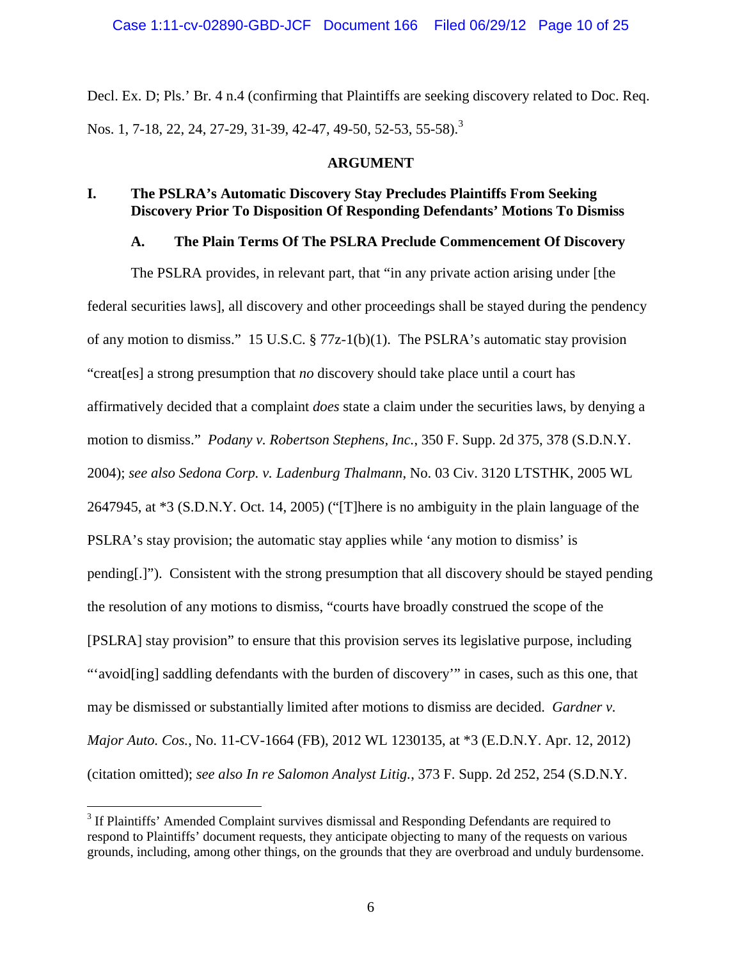Decl. Ex. D; Pls.' Br. 4 n.4 (confirming that Plaintiffs are seeking discovery related to Doc. Req. Nos. 1, 7-18, 22, 24, 27-29, 31-39, 42-47, 49-50, 52-53, 55-58).<sup>3</sup>

### **ARGUMENT**

# **I. The PSLRA's Automatic Discovery Stay Precludes Plaintiffs From Seeking Discovery Prior To Disposition Of Responding Defendants' Motions To Dismiss**

## **A. The Plain Terms Of The PSLRA Preclude Commencement Of Discovery**

The PSLRA provides, in relevant part, that "in any private action arising under [the federal securities laws], all discovery and other proceedings shall be stayed during the pendency of any motion to dismiss." 15 U.S.C. § 77z-1(b)(1). The PSLRA's automatic stay provision "creat[es] a strong presumption that *no* discovery should take place until a court has affirmatively decided that a complaint *does* state a claim under the securities laws, by denying a motion to dismiss." *Podany v. Robertson Stephens, Inc.*, 350 F. Supp. 2d 375, 378 (S.D.N.Y. 2004); *see also Sedona Corp. v. Ladenburg Thalmann*, No. 03 Civ. 3120 LTSTHK, 2005 WL 2647945, at \*3 (S.D.N.Y. Oct. 14, 2005) ("[T]here is no ambiguity in the plain language of the PSLRA's stay provision; the automatic stay applies while 'any motion to dismiss' is pending[.]"). Consistent with the strong presumption that all discovery should be stayed pending the resolution of any motions to dismiss, "courts have broadly construed the scope of the [PSLRA] stay provision" to ensure that this provision serves its legislative purpose, including "'avoid[ing] saddling defendants with the burden of discovery'" in cases, such as this one, that may be dismissed or substantially limited after motions to dismiss are decided. *Gardner v. Major Auto. Cos.*, No. 11-CV-1664 (FB), 2012 WL 1230135, at \*3 (E.D.N.Y. Apr. 12, 2012) (citation omitted); *see also In re Salomon Analyst Litig.*, 373 F. Supp. 2d 252, 254 (S.D.N.Y.

<sup>&</sup>lt;sup>3</sup> If Plaintiffs' Amended Complaint survives dismissal and Responding Defendants are required to respond to Plaintiffs' document requests, they anticipate objecting to many of the requests on various grounds, including, among other things, on the grounds that they are overbroad and unduly burdensome.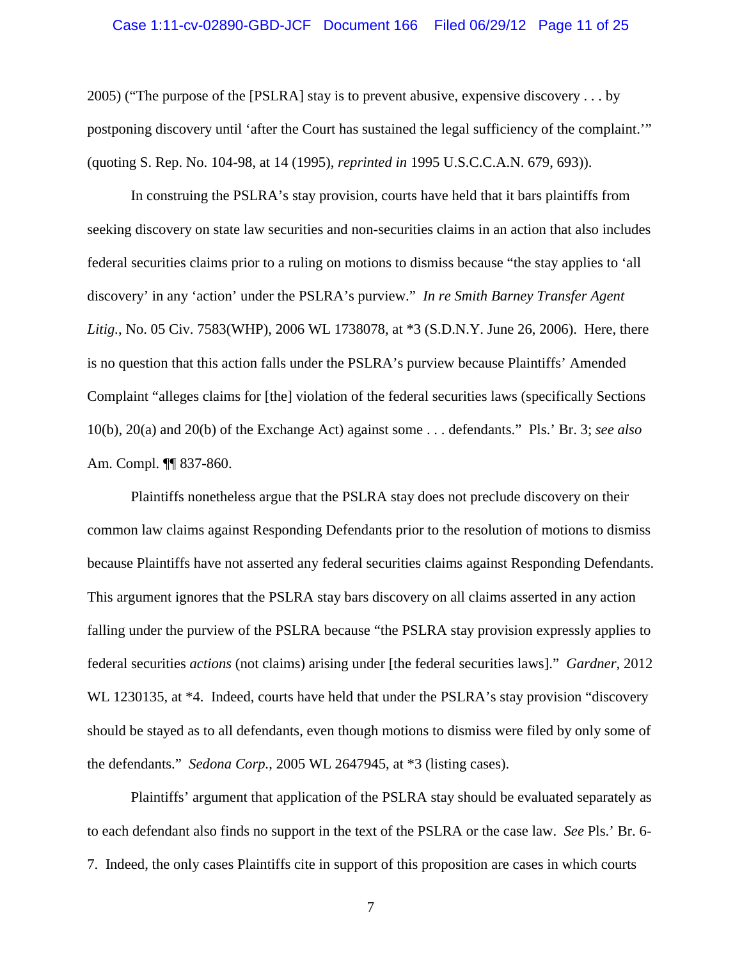#### Case 1:11-cv-02890-GBD-JCF Document 166 Filed 06/29/12 Page 11 of 25

2005) ("The purpose of the [PSLRA] stay is to prevent abusive, expensive discovery . . . by postponing discovery until 'after the Court has sustained the legal sufficiency of the complaint.'" (quoting S. Rep. No. 104-98, at 14 (1995), *reprinted in* 1995 U.S.C.C.A.N. 679, 693)).

In construing the PSLRA's stay provision, courts have held that it bars plaintiffs from seeking discovery on state law securities and non-securities claims in an action that also includes federal securities claims prior to a ruling on motions to dismiss because "the stay applies to 'all discovery' in any 'action' under the PSLRA's purview." *In re Smith Barney Transfer Agent Litig.*, No. 05 Civ. 7583(WHP), 2006 WL 1738078, at \*3 (S.D.N.Y. June 26, 2006). Here, there is no question that this action falls under the PSLRA's purview because Plaintiffs' Amended Complaint "alleges claims for [the] violation of the federal securities laws (specifically Sections 10(b), 20(a) and 20(b) of the Exchange Act) against some . . . defendants." Pls.' Br. 3; *see also* Am. Compl. ¶¶ 837-860.

Plaintiffs nonetheless argue that the PSLRA stay does not preclude discovery on their common law claims against Responding Defendants prior to the resolution of motions to dismiss because Plaintiffs have not asserted any federal securities claims against Responding Defendants. This argument ignores that the PSLRA stay bars discovery on all claims asserted in any action falling under the purview of the PSLRA because "the PSLRA stay provision expressly applies to federal securities *actions* (not claims) arising under [the federal securities laws]." *Gardner*, 2012 WL 1230135, at \*4. Indeed, courts have held that under the PSLRA's stay provision "discovery should be stayed as to all defendants, even though motions to dismiss were filed by only some of the defendants." *Sedona Corp.*, 2005 WL 2647945, at \*3 (listing cases).

Plaintiffs' argument that application of the PSLRA stay should be evaluated separately as to each defendant also finds no support in the text of the PSLRA or the case law. *See* Pls.' Br. 6- 7. Indeed, the only cases Plaintiffs cite in support of this proposition are cases in which courts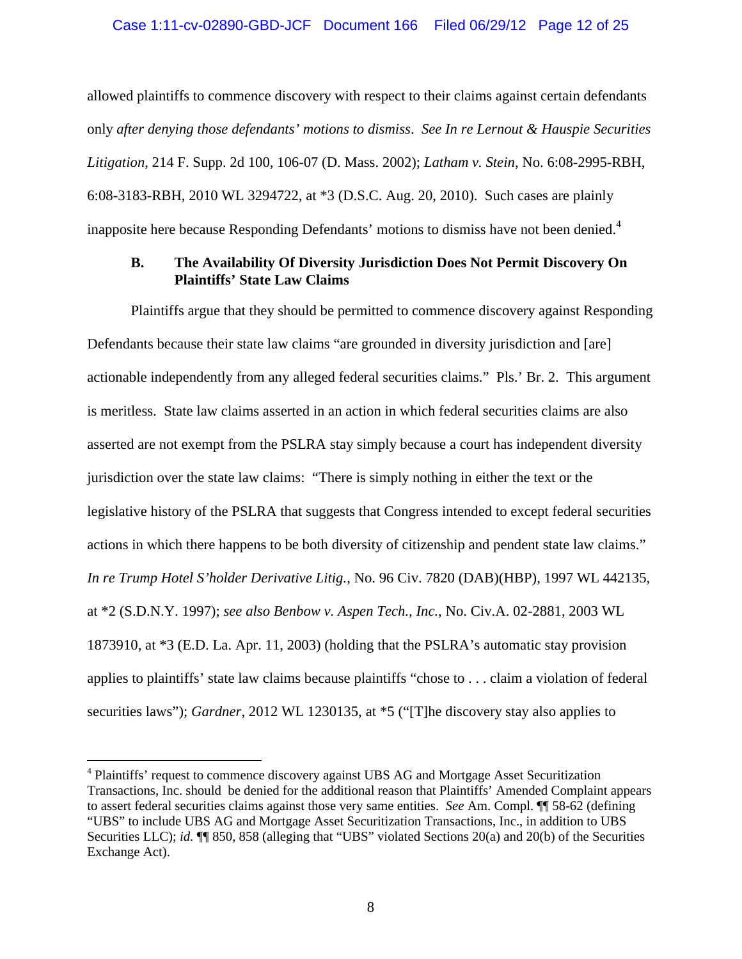#### Case 1:11-cv-02890-GBD-JCF Document 166 Filed 06/29/12 Page 12 of 25

allowed plaintiffs to commence discovery with respect to their claims against certain defendants only *after denying those defendants' motions to dismiss*. *See In re Lernout & Hauspie Securities Litigation*, 214 F. Supp. 2d 100, 106-07 (D. Mass. 2002); *Latham v. Stein*, No. 6:08-2995-RBH, 6:08-3183-RBH, 2010 WL 3294722, at \*3 (D.S.C. Aug. 20, 2010). Such cases are plainly inapposite here because Responding Defendants' motions to dismiss have not been denied.<sup>4</sup>

## **B. The Availability Of Diversity Jurisdiction Does Not Permit Discovery On Plaintiffs' State Law Claims**

Plaintiffs argue that they should be permitted to commence discovery against Responding Defendants because their state law claims "are grounded in diversity jurisdiction and [are] actionable independently from any alleged federal securities claims." Pls.' Br. 2. This argument is meritless. State law claims asserted in an action in which federal securities claims are also asserted are not exempt from the PSLRA stay simply because a court has independent diversity jurisdiction over the state law claims: "There is simply nothing in either the text or the legislative history of the PSLRA that suggests that Congress intended to except federal securities actions in which there happens to be both diversity of citizenship and pendent state law claims." *In re Trump Hotel S'holder Derivative Litig.*, No. 96 Civ. 7820 (DAB)(HBP), 1997 WL 442135, at \*2 (S.D.N.Y. 1997); *see also Benbow v. Aspen Tech., Inc.*, No. Civ.A. 02-2881, 2003 WL 1873910, at \*3 (E.D. La. Apr. 11, 2003) (holding that the PSLRA's automatic stay provision applies to plaintiffs' state law claims because plaintiffs "chose to . . . claim a violation of federal securities laws"); *Gardner*, 2012 WL 1230135, at \*5 ("[T]he discovery stay also applies to

<sup>&</sup>lt;sup>4</sup> Plaintiffs' request to commence discovery against UBS AG and Mortgage Asset Securitization Transactions, Inc. should be denied for the additional reason that Plaintiffs' Amended Complaint appears to assert federal securities claims against those very same entities. *See* Am. Compl. ¶¶ 58-62 (defining "UBS" to include UBS AG and Mortgage Asset Securitization Transactions, Inc., in addition to UBS Securities LLC); *id.* **¶** 850, 858 (alleging that "UBS" violated Sections 20(a) and 20(b) of the Securities Exchange Act).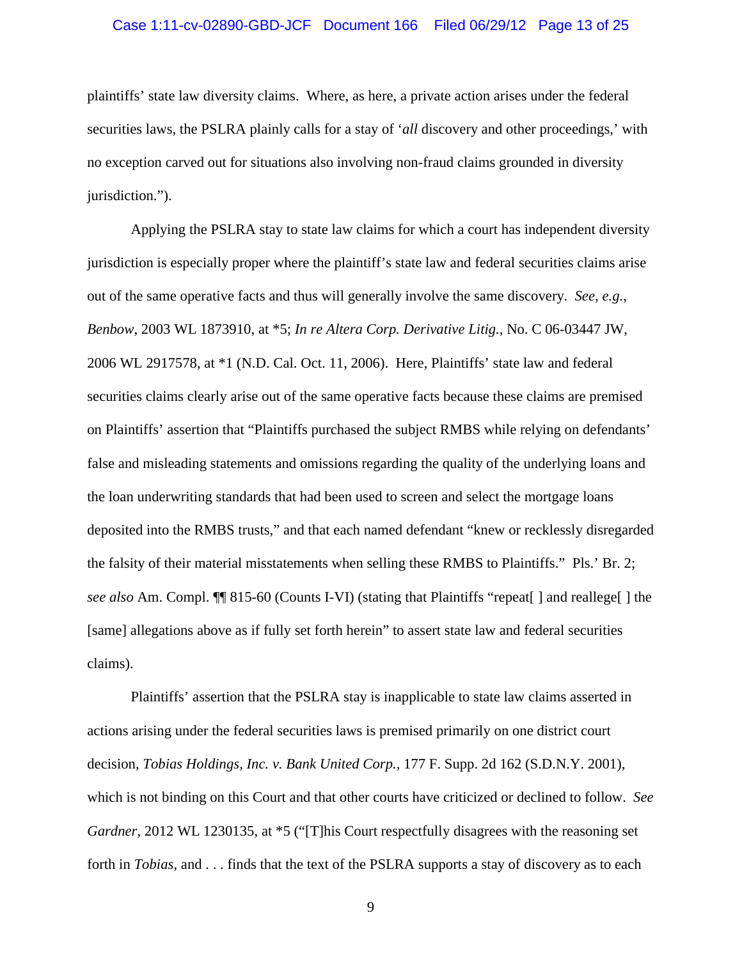#### Case 1:11-cv-02890-GBD-JCF Document 166 Filed 06/29/12 Page 13 of 25

plaintiffs' state law diversity claims. Where, as here, a private action arises under the federal securities laws, the PSLRA plainly calls for a stay of '*all* discovery and other proceedings,' with no exception carved out for situations also involving non-fraud claims grounded in diversity jurisdiction.").

Applying the PSLRA stay to state law claims for which a court has independent diversity jurisdiction is especially proper where the plaintiff's state law and federal securities claims arise out of the same operative facts and thus will generally involve the same discovery. *See, e.g.*, *Benbow*, 2003 WL 1873910, at \*5; *In re Altera Corp. Derivative Litig.*, No. C 06-03447 JW, 2006 WL 2917578, at \*1 (N.D. Cal. Oct. 11, 2006). Here, Plaintiffs' state law and federal securities claims clearly arise out of the same operative facts because these claims are premised on Plaintiffs' assertion that "Plaintiffs purchased the subject RMBS while relying on defendants' false and misleading statements and omissions regarding the quality of the underlying loans and the loan underwriting standards that had been used to screen and select the mortgage loans deposited into the RMBS trusts," and that each named defendant "knew or recklessly disregarded the falsity of their material misstatements when selling these RMBS to Plaintiffs." Pls.' Br. 2; *see also* Am. Compl. ¶¶ 815-60 (Counts I-VI) (stating that Plaintiffs "repeat[ ] and reallege[ ] the [same] allegations above as if fully set forth herein" to assert state law and federal securities claims).

Plaintiffs' assertion that the PSLRA stay is inapplicable to state law claims asserted in actions arising under the federal securities laws is premised primarily on one district court decision, *Tobias Holdings, Inc. v. Bank United Corp.*, 177 F. Supp. 2d 162 (S.D.N.Y. 2001), which is not binding on this Court and that other courts have criticized or declined to follow. *See Gardner*, 2012 WL 1230135, at \*5 ("[T]his Court respectfully disagrees with the reasoning set forth in *Tobias*, and . . . finds that the text of the PSLRA supports a stay of discovery as to each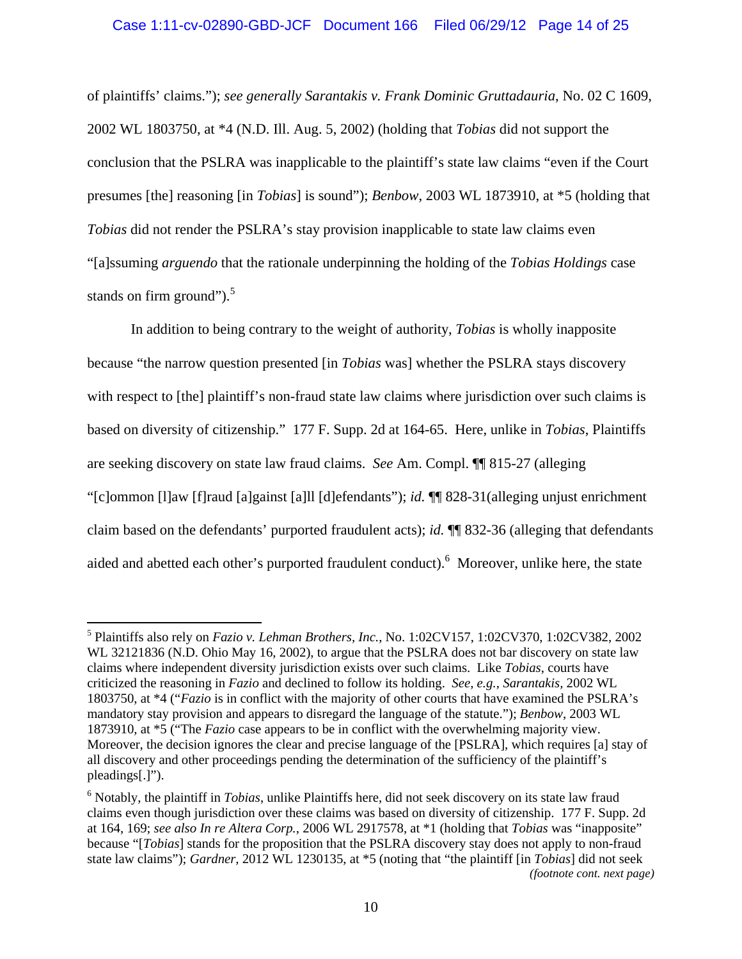### Case 1:11-cv-02890-GBD-JCF Document 166 Filed 06/29/12 Page 14 of 25

of plaintiffs' claims."); *see generally Sarantakis v. Frank Dominic Gruttadauria*, No. 02 C 1609, 2002 WL 1803750, at \*4 (N.D. Ill. Aug. 5, 2002) (holding that *Tobias* did not support the conclusion that the PSLRA was inapplicable to the plaintiff's state law claims "even if the Court presumes [the] reasoning [in *Tobias*] is sound"); *Benbow*, 2003 WL 1873910, at \*5 (holding that *Tobias* did not render the PSLRA's stay provision inapplicable to state law claims even "[a]ssuming *arguendo* that the rationale underpinning the holding of the *Tobias Holdings* case stands on firm ground"). $5$ 

In addition to being contrary to the weight of authority, *Tobias* is wholly inapposite because "the narrow question presented [in *Tobias* was] whether the PSLRA stays discovery with respect to [the] plaintiff's non-fraud state law claims where jurisdiction over such claims is based on diversity of citizenship." 177 F. Supp. 2d at 164-65. Here, unlike in *Tobias*, Plaintiffs are seeking discovery on state law fraud claims. *See* Am. Compl. ¶¶ 815-27 (alleging "[c]ommon [l]aw [f]raud [a]gainst [a]ll [d]efendants"); *id.* ¶¶ 828-31(alleging unjust enrichment claim based on the defendants' purported fraudulent acts); *id.* ¶¶ 832-36 (alleging that defendants aided and abetted each other's purported fraudulent conduct).<sup>6</sup> Moreover, unlike here, the state

<sup>5</sup> Plaintiffs also rely on *Fazio v. Lehman Brothers, Inc.*, No. 1:02CV157, 1:02CV370, 1:02CV382, 2002 WL 32121836 (N.D. Ohio May 16, 2002), to argue that the PSLRA does not bar discovery on state law claims where independent diversity jurisdiction exists over such claims. Like *Tobias*, courts have criticized the reasoning in *Fazio* and declined to follow its holding. *See, e.g.*, *Sarantakis,* 2002 WL 1803750, at \*4 ("*Fazio* is in conflict with the majority of other courts that have examined the PSLRA's mandatory stay provision and appears to disregard the language of the statute."); *Benbow*, 2003 WL 1873910, at \*5 ("The *Fazio* case appears to be in conflict with the overwhelming majority view. Moreover, the decision ignores the clear and precise language of the [PSLRA], which requires [a] stay of all discovery and other proceedings pending the determination of the sufficiency of the plaintiff's pleadings[.]").

<sup>6</sup> Notably, the plaintiff in *Tobias*, unlike Plaintiffs here, did not seek discovery on its state law fraud claims even though jurisdiction over these claims was based on diversity of citizenship. 177 F. Supp. 2d at 164, 169; *see also In re Altera Corp.*, 2006 WL 2917578, at \*1 (holding that *Tobias* was "inapposite" because "[*Tobias*] stands for the proposition that the PSLRA discovery stay does not apply to non-fraud state law claims"); *Gardner*, 2012 WL 1230135, at \*5 (noting that "the plaintiff [in *Tobias*] did not seek *(footnote cont. next page)*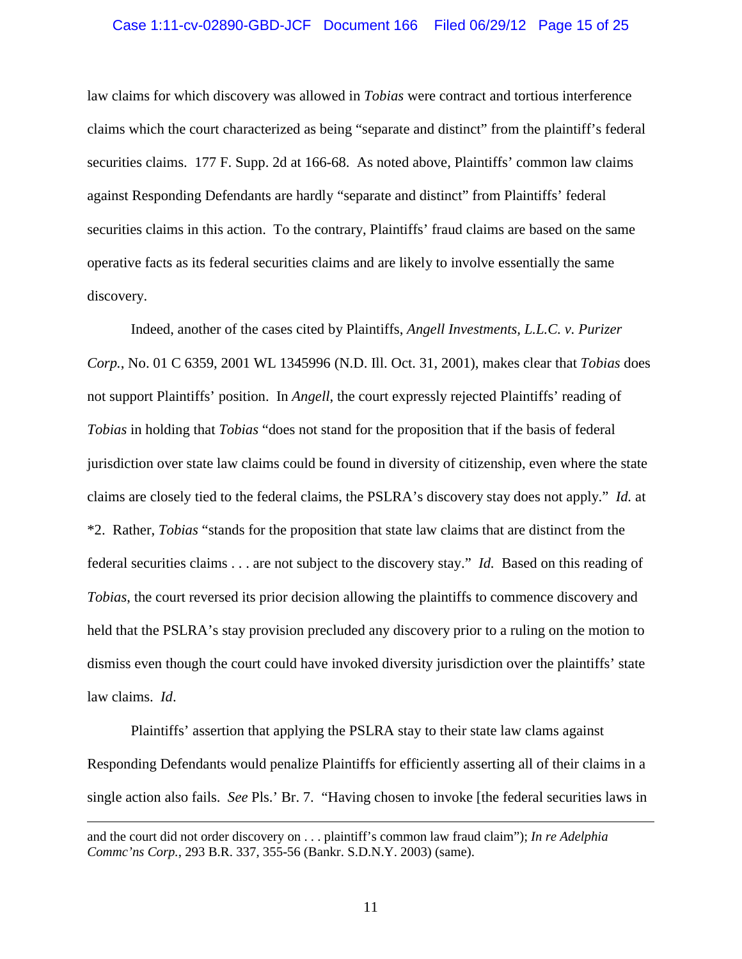#### Case 1:11-cv-02890-GBD-JCF Document 166 Filed 06/29/12 Page 15 of 25

law claims for which discovery was allowed in *Tobias* were contract and tortious interference claims which the court characterized as being "separate and distinct" from the plaintiff's federal securities claims. 177 F. Supp. 2d at 166-68. As noted above, Plaintiffs' common law claims against Responding Defendants are hardly "separate and distinct" from Plaintiffs' federal securities claims in this action. To the contrary, Plaintiffs' fraud claims are based on the same operative facts as its federal securities claims and are likely to involve essentially the same discovery.

Indeed, another of the cases cited by Plaintiffs, *Angell Investments, L.L.C. v. Purizer Corp.*, No. 01 C 6359, 2001 WL 1345996 (N.D. Ill. Oct. 31, 2001), makes clear that *Tobias* does not support Plaintiffs' position. In *Angell*, the court expressly rejected Plaintiffs' reading of *Tobias* in holding that *Tobias* "does not stand for the proposition that if the basis of federal jurisdiction over state law claims could be found in diversity of citizenship, even where the state claims are closely tied to the federal claims, the PSLRA's discovery stay does not apply." *Id.* at \*2. Rather, *Tobias* "stands for the proposition that state law claims that are distinct from the federal securities claims . . . are not subject to the discovery stay." *Id.* Based on this reading of *Tobias*, the court reversed its prior decision allowing the plaintiffs to commence discovery and held that the PSLRA's stay provision precluded any discovery prior to a ruling on the motion to dismiss even though the court could have invoked diversity jurisdiction over the plaintiffs' state law claims. *Id*.

Plaintiffs' assertion that applying the PSLRA stay to their state law clams against Responding Defendants would penalize Plaintiffs for efficiently asserting all of their claims in a single action also fails. *See* Pls.' Br. 7. "Having chosen to invoke [the federal securities laws in

and the court did not order discovery on . . . plaintiff's common law fraud claim"); *In re Adelphia Commc'ns Corp.*, 293 B.R. 337, 355-56 (Bankr. S.D.N.Y. 2003) (same).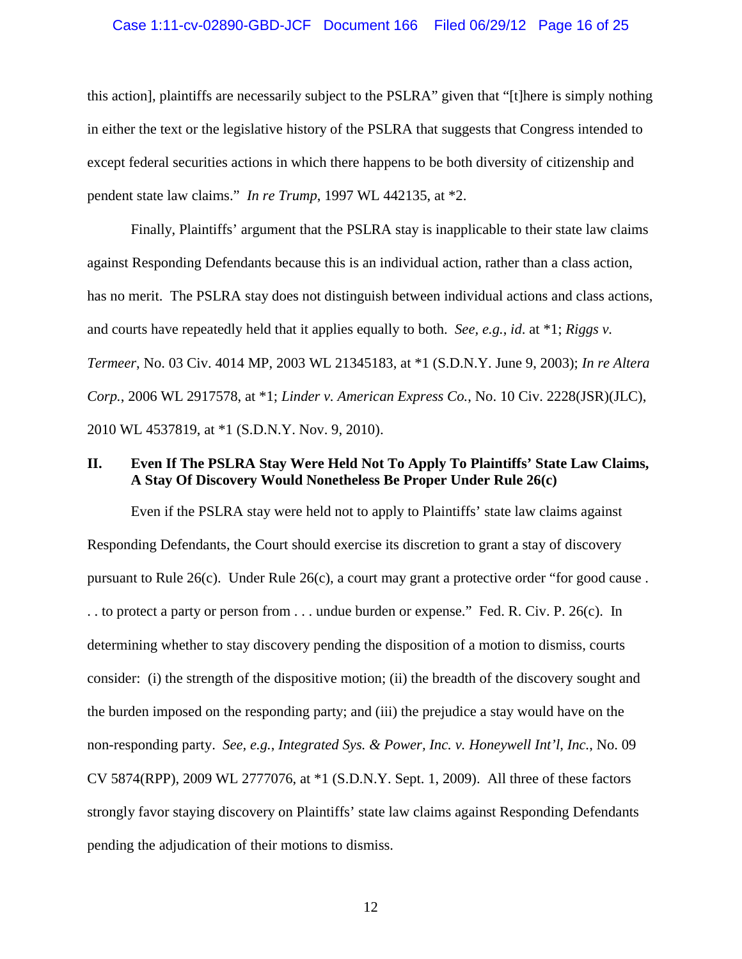#### Case 1:11-cv-02890-GBD-JCF Document 166 Filed 06/29/12 Page 16 of 25

this action], plaintiffs are necessarily subject to the PSLRA" given that "[t]here is simply nothing in either the text or the legislative history of the PSLRA that suggests that Congress intended to except federal securities actions in which there happens to be both diversity of citizenship and pendent state law claims." *In re Trump*, 1997 WL 442135, at \*2.

Finally, Plaintiffs' argument that the PSLRA stay is inapplicable to their state law claims against Responding Defendants because this is an individual action, rather than a class action, has no merit. The PSLRA stay does not distinguish between individual actions and class actions, and courts have repeatedly held that it applies equally to both. *See, e.g.*, *id*. at \*1; *Riggs v. Termeer*, No. 03 Civ. 4014 MP, 2003 WL 21345183, at \*1 (S.D.N.Y. June 9, 2003); *In re Altera Corp.*, 2006 WL 2917578, at \*1; *Linder v. American Express Co.*, No. 10 Civ. 2228(JSR)(JLC), 2010 WL 4537819, at \*1 (S.D.N.Y. Nov. 9, 2010).

## **II. Even If The PSLRA Stay Were Held Not To Apply To Plaintiffs' State Law Claims, A Stay Of Discovery Would Nonetheless Be Proper Under Rule 26(c)**

Even if the PSLRA stay were held not to apply to Plaintiffs' state law claims against Responding Defendants, the Court should exercise its discretion to grant a stay of discovery pursuant to Rule 26(c). Under Rule 26(c), a court may grant a protective order "for good cause . . . to protect a party or person from . . . undue burden or expense." Fed. R. Civ. P. 26(c). In determining whether to stay discovery pending the disposition of a motion to dismiss, courts consider: (i) the strength of the dispositive motion; (ii) the breadth of the discovery sought and the burden imposed on the responding party; and (iii) the prejudice a stay would have on the non-responding party. *See, e.g.*, *Integrated Sys. & Power, Inc. v. Honeywell Int'l, Inc.*, No. 09 CV 5874(RPP), 2009 WL 2777076, at \*1 (S.D.N.Y. Sept. 1, 2009). All three of these factors strongly favor staying discovery on Plaintiffs' state law claims against Responding Defendants pending the adjudication of their motions to dismiss.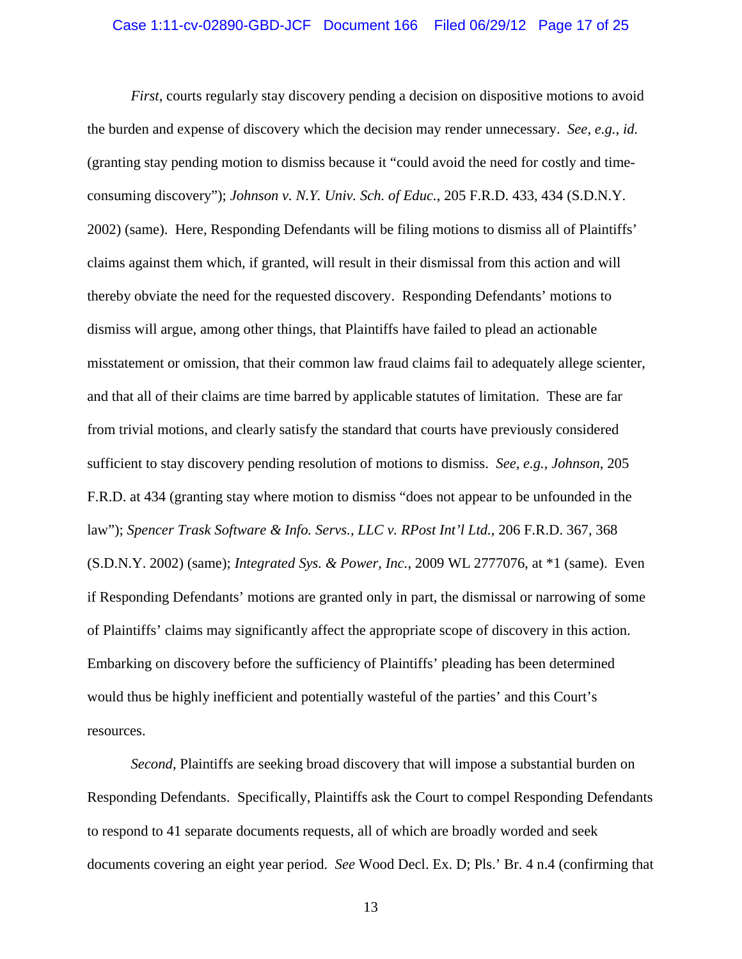#### Case 1:11-cv-02890-GBD-JCF Document 166 Filed 06/29/12 Page 17 of 25

*First*, courts regularly stay discovery pending a decision on dispositive motions to avoid the burden and expense of discovery which the decision may render unnecessary. *See, e.g.*, *id.* (granting stay pending motion to dismiss because it "could avoid the need for costly and timeconsuming discovery"); *Johnson v. N.Y. Univ. Sch. of Educ.*, 205 F.R.D. 433, 434 (S.D.N.Y. 2002) (same). Here, Responding Defendants will be filing motions to dismiss all of Plaintiffs' claims against them which, if granted, will result in their dismissal from this action and will thereby obviate the need for the requested discovery. Responding Defendants' motions to dismiss will argue, among other things, that Plaintiffs have failed to plead an actionable misstatement or omission, that their common law fraud claims fail to adequately allege scienter, and that all of their claims are time barred by applicable statutes of limitation. These are far from trivial motions, and clearly satisfy the standard that courts have previously considered sufficient to stay discovery pending resolution of motions to dismiss. *See, e.g.*, *Johnson*, 205 F.R.D. at 434 (granting stay where motion to dismiss "does not appear to be unfounded in the law"); *Spencer Trask Software & Info. Servs., LLC v. RPost Int'l Ltd.*, 206 F.R.D. 367, 368 (S.D.N.Y. 2002) (same); *Integrated Sys. & Power, Inc.*, 2009 WL 2777076, at \*1 (same). Even if Responding Defendants' motions are granted only in part, the dismissal or narrowing of some of Plaintiffs' claims may significantly affect the appropriate scope of discovery in this action. Embarking on discovery before the sufficiency of Plaintiffs' pleading has been determined would thus be highly inefficient and potentially wasteful of the parties' and this Court's resources.

*Second*, Plaintiffs are seeking broad discovery that will impose a substantial burden on Responding Defendants. Specifically, Plaintiffs ask the Court to compel Responding Defendants to respond to 41 separate documents requests, all of which are broadly worded and seek documents covering an eight year period. *See* Wood Decl. Ex. D; Pls.' Br. 4 n.4 (confirming that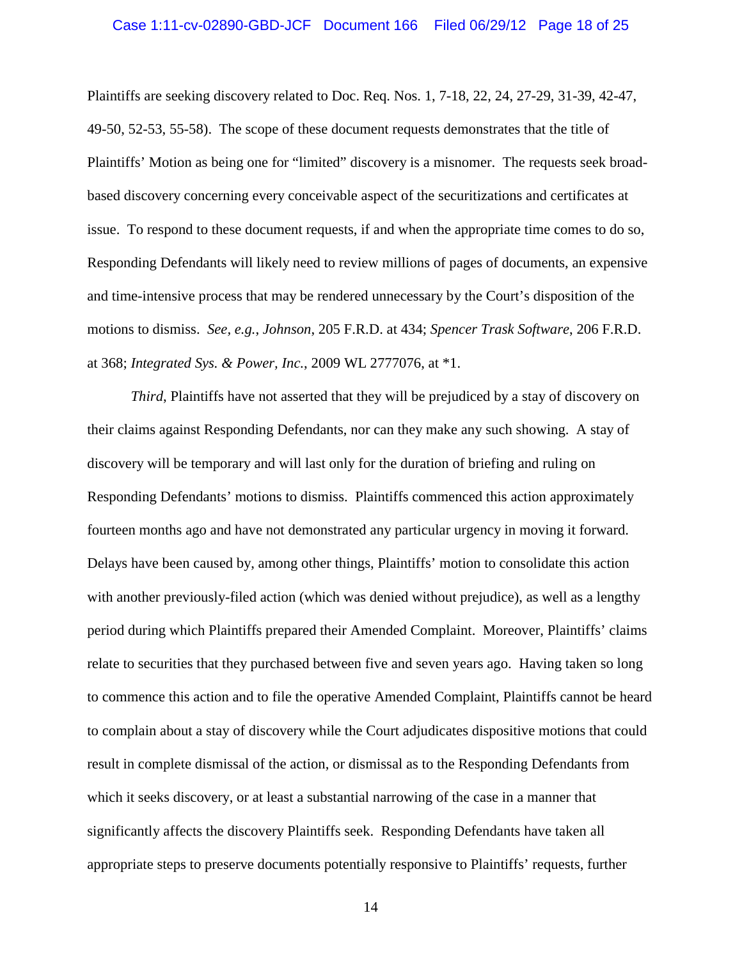#### Case 1:11-cv-02890-GBD-JCF Document 166 Filed 06/29/12 Page 18 of 25

Plaintiffs are seeking discovery related to Doc. Req. Nos. 1, 7-18, 22, 24, 27-29, 31-39, 42-47, 49-50, 52-53, 55-58). The scope of these document requests demonstrates that the title of Plaintiffs' Motion as being one for "limited" discovery is a misnomer. The requests seek broadbased discovery concerning every conceivable aspect of the securitizations and certificates at issue. To respond to these document requests, if and when the appropriate time comes to do so, Responding Defendants will likely need to review millions of pages of documents, an expensive and time-intensive process that may be rendered unnecessary by the Court's disposition of the motions to dismiss. *See, e.g.*, *Johnson*, 205 F.R.D. at 434; *Spencer Trask Software*, 206 F.R.D. at 368; *Integrated Sys. & Power, Inc.*, 2009 WL 2777076, at \*1.

*Third*, Plaintiffs have not asserted that they will be prejudiced by a stay of discovery on their claims against Responding Defendants, nor can they make any such showing. A stay of discovery will be temporary and will last only for the duration of briefing and ruling on Responding Defendants' motions to dismiss. Plaintiffs commenced this action approximately fourteen months ago and have not demonstrated any particular urgency in moving it forward. Delays have been caused by, among other things, Plaintiffs' motion to consolidate this action with another previously-filed action (which was denied without prejudice), as well as a lengthy period during which Plaintiffs prepared their Amended Complaint. Moreover, Plaintiffs' claims relate to securities that they purchased between five and seven years ago. Having taken so long to commence this action and to file the operative Amended Complaint, Plaintiffs cannot be heard to complain about a stay of discovery while the Court adjudicates dispositive motions that could result in complete dismissal of the action, or dismissal as to the Responding Defendants from which it seeks discovery, or at least a substantial narrowing of the case in a manner that significantly affects the discovery Plaintiffs seek. Responding Defendants have taken all appropriate steps to preserve documents potentially responsive to Plaintiffs' requests, further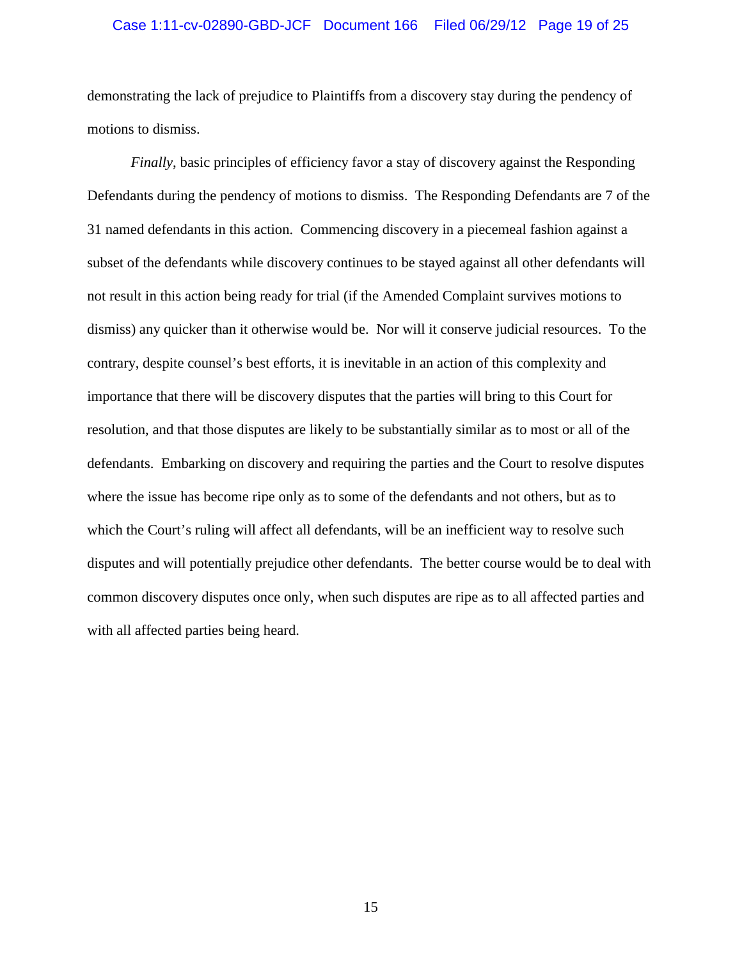#### Case 1:11-cv-02890-GBD-JCF Document 166 Filed 06/29/12 Page 19 of 25

demonstrating the lack of prejudice to Plaintiffs from a discovery stay during the pendency of motions to dismiss.

*Finally*, basic principles of efficiency favor a stay of discovery against the Responding Defendants during the pendency of motions to dismiss. The Responding Defendants are 7 of the 31 named defendants in this action. Commencing discovery in a piecemeal fashion against a subset of the defendants while discovery continues to be stayed against all other defendants will not result in this action being ready for trial (if the Amended Complaint survives motions to dismiss) any quicker than it otherwise would be. Nor will it conserve judicial resources. To the contrary, despite counsel's best efforts, it is inevitable in an action of this complexity and importance that there will be discovery disputes that the parties will bring to this Court for resolution, and that those disputes are likely to be substantially similar as to most or all of the defendants. Embarking on discovery and requiring the parties and the Court to resolve disputes where the issue has become ripe only as to some of the defendants and not others, but as to which the Court's ruling will affect all defendants, will be an inefficient way to resolve such disputes and will potentially prejudice other defendants. The better course would be to deal with common discovery disputes once only, when such disputes are ripe as to all affected parties and with all affected parties being heard.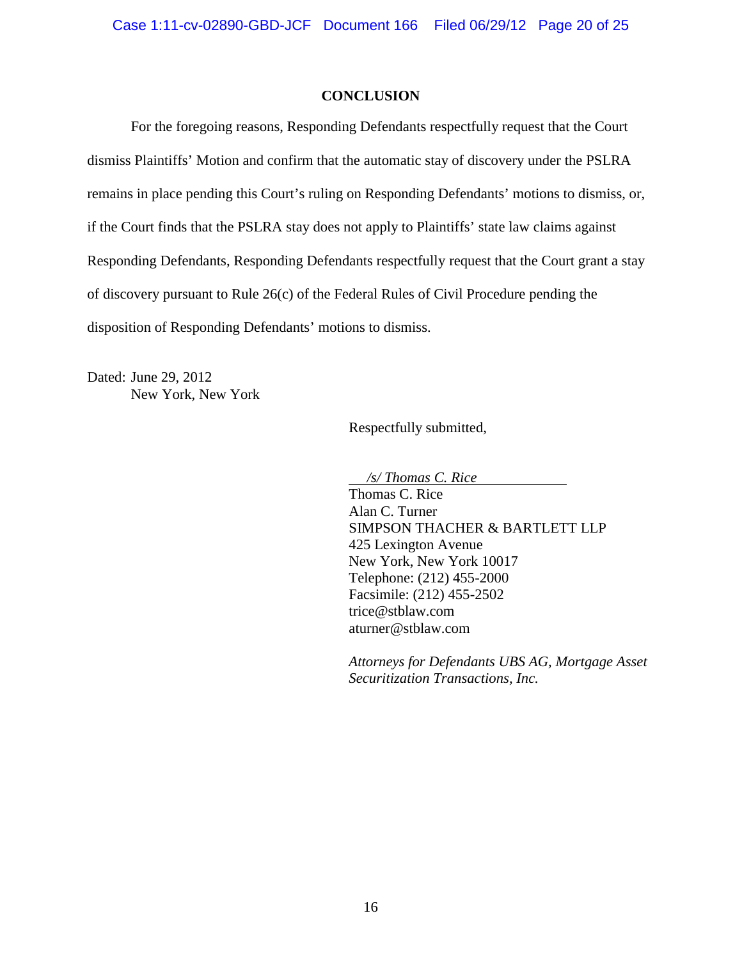## **CONCLUSION**

For the foregoing reasons, Responding Defendants respectfully request that the Court dismiss Plaintiffs' Motion and confirm that the automatic stay of discovery under the PSLRA remains in place pending this Court's ruling on Responding Defendants' motions to dismiss, or, if the Court finds that the PSLRA stay does not apply to Plaintiffs' state law claims against Responding Defendants, Responding Defendants respectfully request that the Court grant a stay of discovery pursuant to Rule 26(c) of the Federal Rules of Civil Procedure pending the disposition of Responding Defendants' motions to dismiss.

Dated: June 29, 2012 New York, New York

Respectfully submitted,

*/s/ Thomas C. Rice*

Thomas C. Rice Alan C. Turner SIMPSON THACHER & BARTLETT LLP 425 Lexington Avenue New York, New York 10017 Telephone: (212) 455-2000 Facsimile: (212) 455-2502 trice@stblaw.com aturner@stblaw.com

*Attorneys for Defendants UBS AG, Mortgage Asset Securitization Transactions, Inc.*